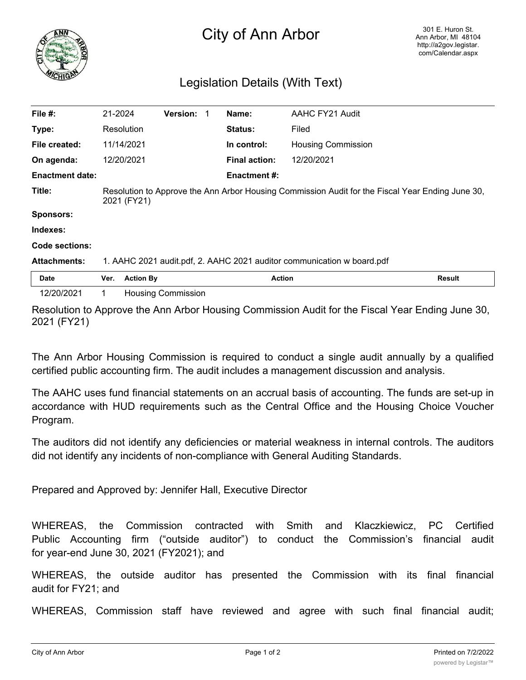

## City of Ann Arbor

## Legislation Details (With Text)

| File $#$ :             | 21-2024                                                                                                         | <b>Version: 1</b>         |  | Name:                | AAHC FY21 Audit    |  |
|------------------------|-----------------------------------------------------------------------------------------------------------------|---------------------------|--|----------------------|--------------------|--|
| Type:                  | Resolution                                                                                                      |                           |  | <b>Status:</b>       | Filed              |  |
| File created:          | 11/14/2021                                                                                                      |                           |  | In control:          | Housing Commission |  |
| On agenda:             | 12/20/2021                                                                                                      |                           |  | <b>Final action:</b> | 12/20/2021         |  |
| <b>Enactment date:</b> |                                                                                                                 |                           |  | <b>Enactment #:</b>  |                    |  |
| Title:                 | Resolution to Approve the Ann Arbor Housing Commission Audit for the Fiscal Year Ending June 30,<br>2021 (FY21) |                           |  |                      |                    |  |
| <b>Sponsors:</b>       |                                                                                                                 |                           |  |                      |                    |  |
| Indexes:               |                                                                                                                 |                           |  |                      |                    |  |
| Code sections:         |                                                                                                                 |                           |  |                      |                    |  |
| <b>Attachments:</b>    | 1. AAHC 2021 audit.pdf, 2. AAHC 2021 auditor communication w board.pdf                                          |                           |  |                      |                    |  |
| Date                   | <b>Action By</b><br>Ver.                                                                                        |                           |  | <b>Action</b>        | <b>Result</b>      |  |
| 12/20/2021             | 1.                                                                                                              | <b>Housing Commission</b> |  |                      |                    |  |

Resolution to Approve the Ann Arbor Housing Commission Audit for the Fiscal Year Ending June 30, 2021 (FY21)

The Ann Arbor Housing Commission is required to conduct a single audit annually by a qualified certified public accounting firm. The audit includes a management discussion and analysis.

The AAHC uses fund financial statements on an accrual basis of accounting. The funds are set-up in accordance with HUD requirements such as the Central Office and the Housing Choice Voucher Program.

The auditors did not identify any deficiencies or material weakness in internal controls. The auditors did not identify any incidents of non-compliance with General Auditing Standards.

Prepared and Approved by: Jennifer Hall, Executive Director

WHEREAS, the Commission contracted with Smith and Klaczkiewicz, PC Certified Public Accounting firm ("outside auditor") to conduct the Commission's financial audit for year-end June 30, 2021 (FY2021); and

WHEREAS, the outside auditor has presented the Commission with its final financial audit for FY21; and

WHEREAS, Commission staff have reviewed and agree with such final financial audit;